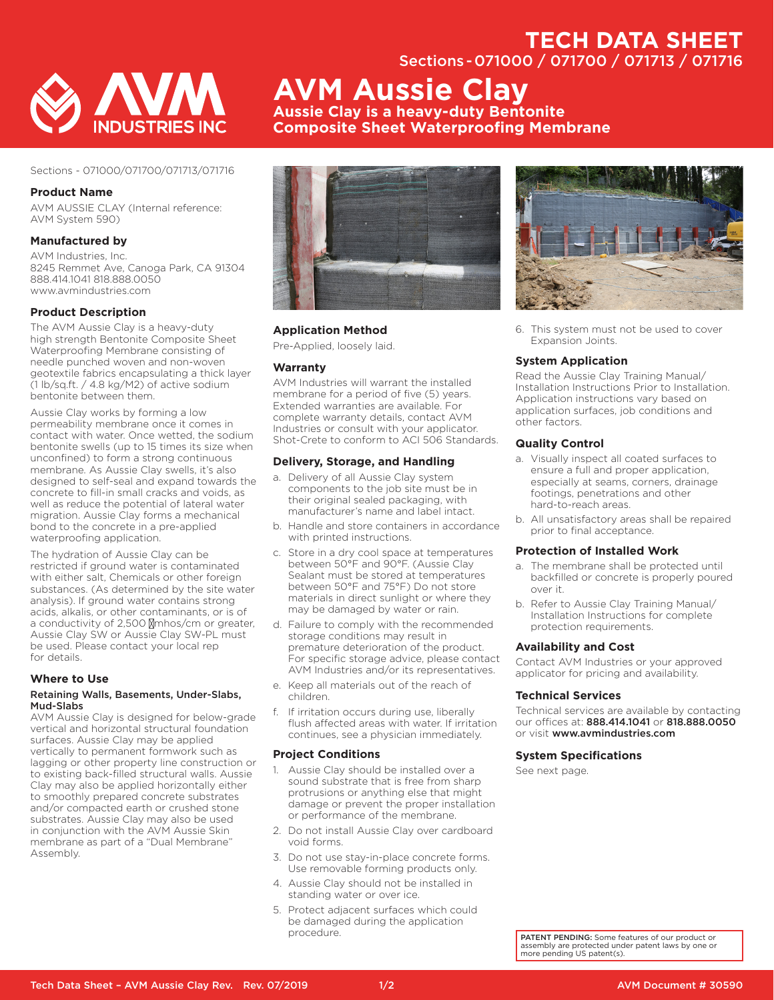# **TECH DATA SHEET**

Sections - 071000 / 071700 / 071713 / 071716



# Sections - 071000/071700/071713/071716

# **Product Name**

AVM AUSSIE CLAY (Internal reference: AVM System 590)

# **Manufactured by**

AVM Industries, Inc. 8245 Remmet Ave, Canoga Park, CA 91304 888.414.1041 818.888.0050 www.avmindustries.com

# **Product Description**

The AVM Aussie Clay is a heavy-duty high strength Bentonite Composite Sheet Waterproofing Membrane consisting of needle punched woven and non-woven geotextile fabrics encapsulating a thick layer (1 lb/sq.ft. / 4.8 kg/M2) of active sodium bentonite between them.

Aussie Clay works by forming a low permeability membrane once it comes in contact with water. Once wetted, the sodium bentonite swells (up to 15 times its size when unconfined) to form a strong continuous membrane. As Aussie Clay swells, it's also designed to self-seal and expand towards the concrete to fill-in small cracks and voids, as well as reduce the potential of lateral water migration. Aussie Clay forms a mechanical bond to the concrete in a pre-applied waterproofing application.

The hydration of Aussie Clay can be restricted if ground water is contaminated with either salt, Chemicals or other foreign substances. (As determined by the site water analysis). If ground water contains strong acids, alkalis, or other contaminants, or is of a conductivity of 2,500 μmhos/cm or greater, Aussie Clay SW or Aussie Clay SW-PL must be used. Please contact your local rep for details.

#### **Where to Use**

#### Retaining Walls, Basements, Under-Slabs, Mud-Slabs

AVM Aussie Clay is designed for below-grade vertical and horizontal structural foundation surfaces. Aussie Clay may be applied vertically to permanent formwork such as lagging or other property line construction or to existing back-filled structural walls. Aussie Clay may also be applied horizontally either to smoothly prepared concrete substrates and/or compacted earth or crushed stone substrates. Aussie Clay may also be used in conjunction with the AVM Aussie Skin membrane as part of a "Dual Membrane" Assembly.



**AVM Aussie Clay**

**Aussie Clay is a heavy-duty Bentonite** 

**Composite Sheet Waterproofing Membrane**

# **Application Method**

Pre-Applied, loosely laid.

# **Warranty**

AVM Industries will warrant the installed membrane for a period of five (5) years. Extended warranties are available. For complete warranty details, contact AVM Industries or consult with your applicator. Shot-Crete to conform to ACI 506 Standards.

#### **Delivery, Storage, and Handling**

- a. Delivery of all Aussie Clay system components to the job site must be in their original sealed packaging, with manufacturer's name and label intact.
- b. Handle and store containers in accordance with printed instructions.
- c. Store in a dry cool space at temperatures between 50°F and 90°F. (Aussie Clay Sealant must be stored at temperatures between 50°F and 75°F) Do not store materials in direct sunlight or where they may be damaged by water or rain.
- d. Failure to comply with the recommended storage conditions may result in premature deterioration of the product. For specific storage advice, please contact AVM Industries and/or its representatives.
- e. Keep all materials out of the reach of children.
- f. If irritation occurs during use, liberally flush affected areas with water. If irritation continues, see a physician immediately.

#### **Project Conditions**

- 1. Aussie Clay should be installed over a sound substrate that is free from sharp protrusions or anything else that might damage or prevent the proper installation or performance of the membrane.
- 2. Do not install Aussie Clay over cardboard void forms.
- 3. Do not use stay-in-place concrete forms. Use removable forming products only.
- 4. Aussie Clay should not be installed in standing water or over ice.
- 5. Protect adjacent surfaces which could be damaged during the application procedure.



6. This system must not be used to cover Expansion Joints.

# **System Application**

Read the Aussie Clay Training Manual/ Installation Instructions Prior to Installation. Application instructions vary based on application surfaces, job conditions and other factors.

#### **Quality Control**

- a. Visually inspect all coated surfaces to ensure a full and proper application, especially at seams, corners, drainage footings, penetrations and other hard-to-reach areas.
- b. All unsatisfactory areas shall be repaired prior to final acceptance.

#### **Protection of Installed Work**

- a. The membrane shall be protected until backfilled or concrete is properly poured over it.
- b. Refer to Aussie Clay Training Manual/ Installation Instructions for complete protection requirements.

#### **Availability and Cost**

Contact AVM Industries or your approved applicator for pricing and availability.

#### **Technical Services**

Technical services are available by contacting our offices at: 888.414.1041 or 818.888.0050 or visit www.avmindustries.com

#### **System Specifications**

See next page.